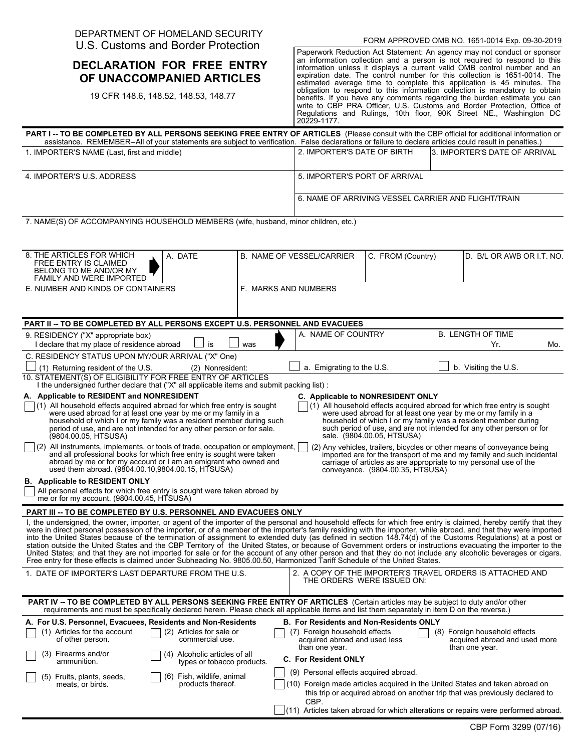## DEPARTMENT OF HOMELAND SECURITY U.S. Customs and Border Protection

## **DECLARATION FOR FREE ENTRY OF UNACCOMPANIED ARTICLES**

19 CFR 148.6, 148.52, 148.53, 148.77

Paperwork Reduction Act Statement: An agency may not conduct or sponsor an information collection and a person is not required to respond to this information unless it displays a current valid OMB control number and an expiration date. The control number for this collection is 1651-0014. The estimated average time to complete this application is 45 minutes. The obligation to respond to this information collection is mandatory to obtain benefits. If you have any comments regarding the burden estimate you can write to CBP PRA Officer, U.S. Customs and Border Protection, Office of Regulations and Rulings, 10th floor, 90K Street NE., Washington DC 20229-1177.

| <b>PART I -- TO BE COMPLETED BY ALL PERSONS SEEKING FREE ENTRY OF ARTICLES</b> (Please consult with the CBP official for additional information or<br>assistance. REMEMBER--All of your statements are subject to verification. False declarations or failure to declare articles could result in penalties.)                                                                                                                                                                                                                                                                                                                                                                                                                                                                                                                                                                                                                                                                                                                                                                                                                                                                                                                                                                    |                                                                                                                                    |                   |                                                                                                                                                                      |  |  |  |  |
|----------------------------------------------------------------------------------------------------------------------------------------------------------------------------------------------------------------------------------------------------------------------------------------------------------------------------------------------------------------------------------------------------------------------------------------------------------------------------------------------------------------------------------------------------------------------------------------------------------------------------------------------------------------------------------------------------------------------------------------------------------------------------------------------------------------------------------------------------------------------------------------------------------------------------------------------------------------------------------------------------------------------------------------------------------------------------------------------------------------------------------------------------------------------------------------------------------------------------------------------------------------------------------|------------------------------------------------------------------------------------------------------------------------------------|-------------------|----------------------------------------------------------------------------------------------------------------------------------------------------------------------|--|--|--|--|
| 1. IMPORTER'S NAME (Last, first and middle)                                                                                                                                                                                                                                                                                                                                                                                                                                                                                                                                                                                                                                                                                                                                                                                                                                                                                                                                                                                                                                                                                                                                                                                                                                      | 2. IMPORTER'S DATE OF BIRTH                                                                                                        |                   | 3. IMPORTER'S DATE OF ARRIVAL                                                                                                                                        |  |  |  |  |
| 4. IMPORTER'S U.S. ADDRESS                                                                                                                                                                                                                                                                                                                                                                                                                                                                                                                                                                                                                                                                                                                                                                                                                                                                                                                                                                                                                                                                                                                                                                                                                                                       | 5. IMPORTER'S PORT OF ARRIVAL                                                                                                      |                   |                                                                                                                                                                      |  |  |  |  |
|                                                                                                                                                                                                                                                                                                                                                                                                                                                                                                                                                                                                                                                                                                                                                                                                                                                                                                                                                                                                                                                                                                                                                                                                                                                                                  | 6. NAME OF ARRIVING VESSEL CARRIER AND FLIGHT/TRAIN                                                                                |                   |                                                                                                                                                                      |  |  |  |  |
| 7. NAME(S) OF ACCOMPANYING HOUSEHOLD MEMBERS (wife, husband, minor children, etc.)                                                                                                                                                                                                                                                                                                                                                                                                                                                                                                                                                                                                                                                                                                                                                                                                                                                                                                                                                                                                                                                                                                                                                                                               |                                                                                                                                    |                   |                                                                                                                                                                      |  |  |  |  |
| 8. THE ARTICLES FOR WHICH<br>A. DATE<br>FREE ENTRY IS CLAIMED<br>BELONG TO ME AND/OR MY<br><b>FAMILY AND WERE IMPORTED</b>                                                                                                                                                                                                                                                                                                                                                                                                                                                                                                                                                                                                                                                                                                                                                                                                                                                                                                                                                                                                                                                                                                                                                       | <b>B. NAME OF VESSEL/CARRIER</b>                                                                                                   | C. FROM (Country) | D. B/L OR AWB OR I.T. NO.                                                                                                                                            |  |  |  |  |
| E. NUMBER AND KINDS OF CONTAINERS<br>F. MARKS AND NUMBERS                                                                                                                                                                                                                                                                                                                                                                                                                                                                                                                                                                                                                                                                                                                                                                                                                                                                                                                                                                                                                                                                                                                                                                                                                        |                                                                                                                                    |                   |                                                                                                                                                                      |  |  |  |  |
| PART II -- TO BE COMPLETED BY ALL PERSONS EXCEPT U.S. PERSONNEL AND EVACUEES                                                                                                                                                                                                                                                                                                                                                                                                                                                                                                                                                                                                                                                                                                                                                                                                                                                                                                                                                                                                                                                                                                                                                                                                     |                                                                                                                                    |                   |                                                                                                                                                                      |  |  |  |  |
| 9. RESIDENCY ("X" appropriate box)<br>is<br>I declare that my place of residence abroad<br>was                                                                                                                                                                                                                                                                                                                                                                                                                                                                                                                                                                                                                                                                                                                                                                                                                                                                                                                                                                                                                                                                                                                                                                                   | A. NAME OF COUNTRY                                                                                                                 |                   | <b>B. LENGTH OF TIME</b><br>Yr.<br>Mo.                                                                                                                               |  |  |  |  |
| C. RESIDENCY STATUS UPON MY/OUR ARRIVAL ("X" One)                                                                                                                                                                                                                                                                                                                                                                                                                                                                                                                                                                                                                                                                                                                                                                                                                                                                                                                                                                                                                                                                                                                                                                                                                                |                                                                                                                                    |                   |                                                                                                                                                                      |  |  |  |  |
| (1) Returning resident of the U.S.<br>(2) Nonresident:                                                                                                                                                                                                                                                                                                                                                                                                                                                                                                                                                                                                                                                                                                                                                                                                                                                                                                                                                                                                                                                                                                                                                                                                                           | a. Emigrating to the U.S.                                                                                                          |                   | b. Visiting the U.S.                                                                                                                                                 |  |  |  |  |
| 10. STATEMENT(S) OF ELIGIBILITY FOR FREE ENTRY OF ARTICLES<br>I the undersigned further declare that ("X" all applicable items and submit packing list) :                                                                                                                                                                                                                                                                                                                                                                                                                                                                                                                                                                                                                                                                                                                                                                                                                                                                                                                                                                                                                                                                                                                        |                                                                                                                                    |                   |                                                                                                                                                                      |  |  |  |  |
| A. Applicable to RESIDENT and NONRESIDENT<br>C. Applicable to NONRESIDENT ONLY<br>$(1)$ All household effects acquired abroad for which free entry is sought<br>$(1)$ All household effects acquired abroad for which free entry is sought<br>were used abroad for at least one year by me or my family in a<br>were used abroad for at least one year by me or my family in a<br>household of which I or my family was a resident member during such<br>household of which I or my family was a resident member during<br>such period of use, and are not intended for any other person or for<br>period of use, and are not intended for any other person or for sale.<br>sale. (9804.00.05, HTSUSA)<br>(9804.00.05, HTSUSA)<br>$(2)$ All instruments, implements, or tools of trade, occupation or employment,<br>(2) Any vehicles, trailers, bicycles or other means of conveyance being<br>and all professional books for which free entry is sought were taken<br>imported are for the transport of me and my family and such incidental<br>abroad by me or for my account or I am an emigrant who owned and<br>carriage of articles as are appropriate to my personal use of the<br>used them abroad. (9804.00.10,9804.00.15, HTSUSA)<br>conveyance. (9804.00.35, HTSUSA) |                                                                                                                                    |                   |                                                                                                                                                                      |  |  |  |  |
| <b>B.</b> Applicable to RESIDENT ONLY<br>All personal effects for which free entry is sought were taken abroad by<br>me or for my account. (9804.00.45, HTSUSA)                                                                                                                                                                                                                                                                                                                                                                                                                                                                                                                                                                                                                                                                                                                                                                                                                                                                                                                                                                                                                                                                                                                  |                                                                                                                                    |                   |                                                                                                                                                                      |  |  |  |  |
| <b>PART III -- TO BE COMPLETED BY U.S. PERSONNEL AND EVACUEES ONLY</b>                                                                                                                                                                                                                                                                                                                                                                                                                                                                                                                                                                                                                                                                                                                                                                                                                                                                                                                                                                                                                                                                                                                                                                                                           |                                                                                                                                    |                   |                                                                                                                                                                      |  |  |  |  |
| I, the undersigned, the owner, importer, or agent of the importer of the personal and household effects for which free entry is claimed, hereby certify that they<br>were in direct personal possession of the importer, or of a member of the importer's family residing with the importer, while abroad, and that they were imported<br>into the United States because of the termination of assignment to extended duty (as defined in section 148.74(d) of the Customs Regulations) at a post or<br>station outside the United States and the CBP Territory of the United States, or because of Government orders or instructions evacuating the importer to the<br>United States; and that they are not imported for sale or for the account of any other person and that they do not include any alcoholic beverages or cigars.<br>Free entry for these effects is claimed under Subheading No. 9805.00.50, Harmonized Tariff Schedule of the United States.                                                                                                                                                                                                                                                                                                               |                                                                                                                                    |                   |                                                                                                                                                                      |  |  |  |  |
| 1. DATE OF IMPORTER'S LAST DEPARTURE FROM THE U.S.                                                                                                                                                                                                                                                                                                                                                                                                                                                                                                                                                                                                                                                                                                                                                                                                                                                                                                                                                                                                                                                                                                                                                                                                                               | 2. A COPY OF THE IMPORTER'S TRAVEL ORDERS IS ATTACHED AND<br>THE ORDERS WERE ISSUED ON:                                            |                   |                                                                                                                                                                      |  |  |  |  |
| PART IV -- TO BE COMPLETED BY ALL PERSONS SEEKING FREE ENTRY OF ARTICLES (Certain articles may be subject to duty and/or other<br>requirements and must be specifically declared herein. Please check all applicable items and list them separately in item D on the reverse.)                                                                                                                                                                                                                                                                                                                                                                                                                                                                                                                                                                                                                                                                                                                                                                                                                                                                                                                                                                                                   |                                                                                                                                    |                   |                                                                                                                                                                      |  |  |  |  |
| A. For U.S. Personnel, Evacuees, Residents and Non-Residents<br>(2) Articles for sale or<br>(1) Articles for the account<br>of other person.<br>commercial use.                                                                                                                                                                                                                                                                                                                                                                                                                                                                                                                                                                                                                                                                                                                                                                                                                                                                                                                                                                                                                                                                                                                  | <b>B. For Residents and Non-Residents ONLY</b><br>(7) Foreign household effects<br>acquired abroad and used less<br>than one year. |                   | (8) Foreign household effects<br>acquired abroad and used more<br>than one year.                                                                                     |  |  |  |  |
| (3) Firearms and/or<br>(4) Alcoholic articles of all<br>ammunition.<br>types or tobacco products.                                                                                                                                                                                                                                                                                                                                                                                                                                                                                                                                                                                                                                                                                                                                                                                                                                                                                                                                                                                                                                                                                                                                                                                | <b>C. For Resident ONLY</b>                                                                                                        |                   |                                                                                                                                                                      |  |  |  |  |
| (6) Fish, wildlife, animal<br>(5) Fruits, plants, seeds,<br>products thereof.<br>meats, or birds.                                                                                                                                                                                                                                                                                                                                                                                                                                                                                                                                                                                                                                                                                                                                                                                                                                                                                                                                                                                                                                                                                                                                                                                | (9) Personal effects acquired abroad.<br>(10) Foreign made articles acquired in the United States and taken abroad on<br>CBP.      |                   | this trip or acquired abroad on another trip that was previously declared to<br>$(11)$ Articles taken abroad for which alterations or repairs were performed abroad. |  |  |  |  |
|                                                                                                                                                                                                                                                                                                                                                                                                                                                                                                                                                                                                                                                                                                                                                                                                                                                                                                                                                                                                                                                                                                                                                                                                                                                                                  |                                                                                                                                    |                   |                                                                                                                                                                      |  |  |  |  |